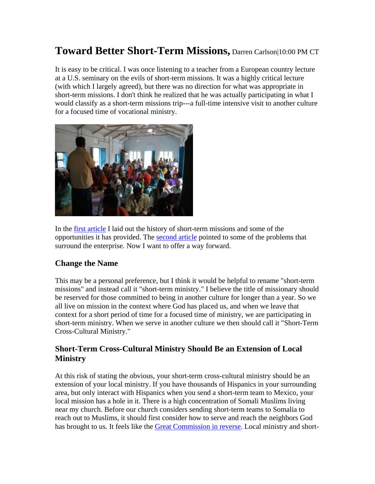# **Toward Better Short-Term Missions,** Darren Carlson|10:00 PM CT

It is easy to be critical. I was once listening to a teacher from a European country lecture at a U.S. seminary on the evils of short-term missions. It was a highly critical lecture (with which I largely agreed), but there was no direction for what was appropriate in short-term missions. I don't think he realized that he was actually participating in what I would classify as a short-term missions trip---a full-time intensive visit to another culture for a focused time of vocational ministry.



In the first article I laid out the history of short-term missions and some of the opportunities it has provided. The second article pointed to some of the problems that surround the enterprise. Now I want to offer a way forward.

### **Change the Name**

This may be a personal preference, but I think it would be helpful to rename "short-term missions" and instead call it "short-term ministry." I believe the title of missionary should be reserved for those committed to being in another culture for longer than a year. So we all live on mission in the context where God has placed us, and when we leave that context for a short period of time for a focused time of ministry, we are participating in short-term ministry. When we serve in another culture we then should call it "Short-Term Cross-Cultural Ministry."

# **Short-Term Cross-Cultural Ministry Should Be an Extension of Local Ministry**

At this risk of stating the obvious, your short-term cross-cultural ministry should be an extension of your local ministry. If you have thousands of Hispanics in your surrounding area, but only interact with Hispanics when you send a short-term team to Mexico, your local mission has a hole in it. There is a high concentration of Somali Muslims living near my church. Before our church considers sending short-term teams to Somalia to reach out to Muslims, it should first consider how to serve and reach the neighbors God has brought to us. It feels like the Great Commission in reverse. Local ministry and short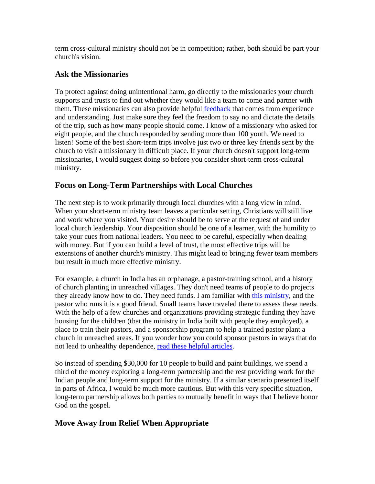term cross-cultural ministry should not be in competition; rather, both should be part your church's vision.

## **Ask the Missionaries**

To protect against doing unintentional harm, go directly to the missionaries your church supports and trusts to find out whether they would like a team to come and partner with them. These missionaries can also provide helpful feedback that comes from experience and understanding. Just make sure they feel the freedom to say no and dictate the details of the trip, such as how many people should come. I know of a missionary who asked for eight people, and the church responded by sending more than 100 youth. We need to listen! Some of the best short-term trips involve just two or three key friends sent by the church to visit a missionary in difficult place. If your church doesn't support long-term missionaries, I would suggest doing so before you consider short-term cross-cultural ministry.

# **Focus on Long-Term Partnerships with Local Churches**

The next step is to work primarily through local churches with a long view in mind. When your short-term ministry team leaves a particular setting, Christians will still live and work where you visited. Your desire should be to serve at the request of and under local church leadership. Your disposition should be one of a learner, with the humility to take your cues from national leaders. You need to be careful, especially when dealing with money. But if you can build a level of trust, the most effective trips will be extensions of another church's ministry. This might lead to bringing fewer team members but result in much more effective ministry.

For example, a church in India has an orphanage, a pastor-training school, and a history of church planting in unreached villages. They don't need teams of people to do projects they already know how to do. They need funds. I am familiar with this ministry, and the pastor who runs it is a good friend. Small teams have traveled there to assess these needs. With the help of a few churches and organizations providing strategic funding they have housing for the children (that the ministry in India built with people they employed), a place to train their pastors, and a sponsorship program to help a trained pastor plant a church in unreached areas. If you wonder how you could sponsor pastors in ways that do not lead to unhealthy dependence, read these helpful articles.

So instead of spending \$30,000 for 10 people to build and paint buildings, we spend a third of the money exploring a long-term partnership and the rest providing work for the Indian people and long-term support for the ministry. If a similar scenario presented itself in parts of Africa, I would be much more cautious. But with this very specific situation, long-term partnership allows both parties to mutually benefit in ways that I believe honor God on the gospel.

# **Move Away from Relief When Appropriate**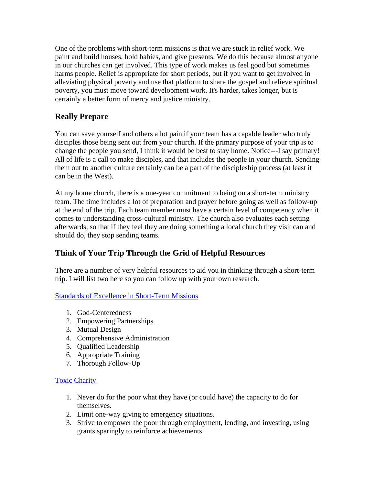One of the problems with short-term missions is that we are stuck in relief work. We paint and build houses, hold babies, and give presents. We do this because almost anyone in our churches can get involved. This type of work makes us feel good but sometimes harms people. Relief is appropriate for short periods, but if you want to get involved in alleviating physical poverty and use that platform to share the gospel and relieve spiritual poverty, you must move toward development work. It's harder, takes longer, but is certainly a better form of mercy and justice ministry.

# **Really Prepare**

You can save yourself and others a lot pain if your team has a capable leader who truly disciples those being sent out from your church. If the primary purpose of your trip is to change the people you send, I think it would be best to stay home. Notice---I say primary! All of life is a call to make disciples, and that includes the people in your church. Sending them out to another culture certainly can be a part of the discipleship process (at least it can be in the West).

At my home church, there is a one-year commitment to being on a short-term ministry team. The time includes a lot of preparation and prayer before going as well as follow-up at the end of the trip. Each team member must have a certain level of competency when it comes to understanding cross-cultural ministry. The church also evaluates each setting afterwards, so that if they feel they are doing something a local church they visit can and should do, they stop sending teams.

# **Think of Your Trip Through the Grid of Helpful Resources**

There are a number of very helpful resources to aid you in thinking through a short-term trip. I will list two here so you can follow up with your own research.

Standards of Excellence in Short-Term Missions

- 1. God-Centeredness
- 2. Empowering Partnerships
- 3. Mutual Design
- 4. Comprehensive Administration
- 5. Qualified Leadership
- 6. Appropriate Training
- 7. Thorough Follow-Up

### Toxic Charity

- 1. Never do for the poor what they have (or could have) the capacity to do for themselves.
- 2. Limit one-way giving to emergency situations.
- 3. Strive to empower the poor through employment, lending, and investing, using grants sparingly to reinforce achievements.